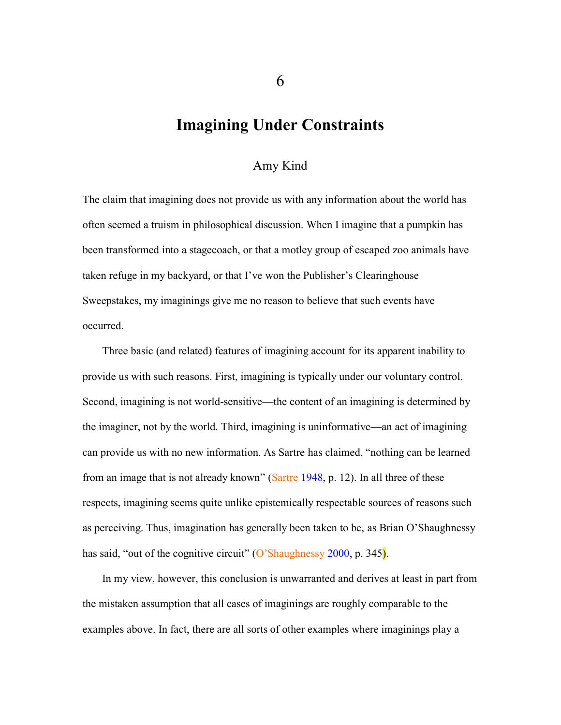### **Imagining Under Constraints**

### Amy Kind

The claim that imagining does not provide us with any information about the world has often seemed a truism in philosophical discussion. When I imagine that a pumpkin has been transformed into a stagecoach, or that a motley group of escaped zoo animals have taken refuge in my backyard, or that I've won the Publisher's Clearinghouse Sweepstakes, my imaginings give me no reason to believe that such events have occurred.

Three basic (and related) features of imagining account for its apparent inability to provide us with such reasons. First, imagining is typically under our voluntary control. Second, imagining is not world-sensitive—the content of an imagining is determined by the imaginer, not by the world. Third, imagining is uninformative—an act of imagining can provide us with no new information. As Sartre has claimed, "nothing can be learned from an image that is not already known" (Sartre [1948,](#page-26-0) p. 12). In all three of these respects, imagining seems quite unlike epistemically respectable sources of reasons such as perceiving. Thus, imagination has generally been taken to be, as Brian O'Shaughnessy has said, "out of the cognitive circuit" (O'Shaughnessy [2000,](#page-26-1) p. 345).

In my view, however, this conclusion is unwarranted and derives at least in part from the mistaken assumption that all cases of imaginings are roughly comparable to the examples above. In fact, there are all sorts of other examples where imaginings play a

6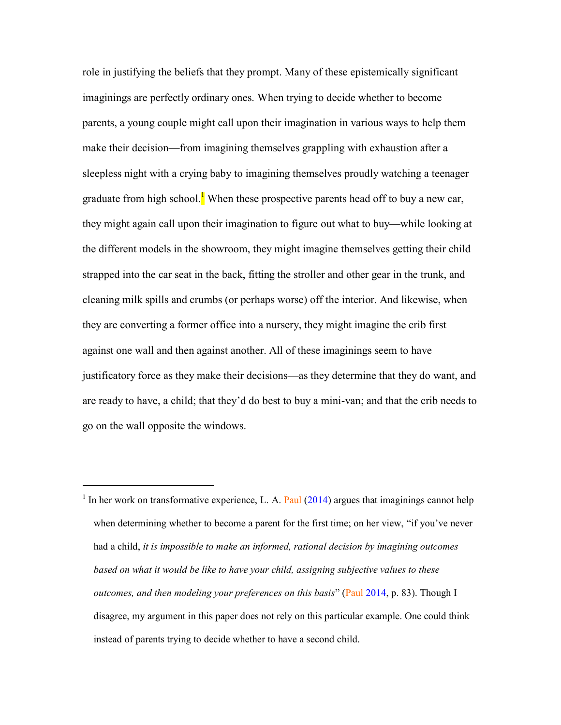role in justifying the beliefs that they prompt. Many of these epistemically significant imaginings are perfectly ordinary ones. When trying to decide whether to become parents, a young couple might call upon their imagination in various ways to help them make their decision—from imagining themselves grappling with exhaustion after a sleepless night with a crying baby to imagining themselves proudly watching a teenager graduate from high school.<sup>1</sup> When these prospective parents head off to buy a new car, they might again call upon their imagination to figure out what to buy—while looking at the different models in the showroom, they might imagine themselves getting their child strapped into the car seat in the back, fitting the stroller and other gear in the trunk, and cleaning milk spills and crumbs (or perhaps worse) off the interior. And likewise, when they are converting a former office into a nursery, they might imagine the crib first against one wall and then against another. All of these imaginings seem to have justificatory force as they make their decisions—as they determine that they do want, and are ready to have, a child; that they'd do best to buy a mini-van; and that the crib needs to go on the wall opposite the windows.

<sup>&</sup>lt;sup>1</sup> In her work on transformative experience, L. A. Paul  $(2014)$  argues that imaginings cannot help when determining whether to become a parent for the first time; on her view, "if you've never had a child, *it is impossible to make an informed, rational decision by imagining outcomes based on what it would be like to have your child, assigning subjective values to these outcomes, and then modeling your preferences on this basis*" (Paul [2014,](#page-26-2) p. 83). Though I disagree, my argument in this paper does not rely on this particular example. One could think instead of parents trying to decide whether to have a second child.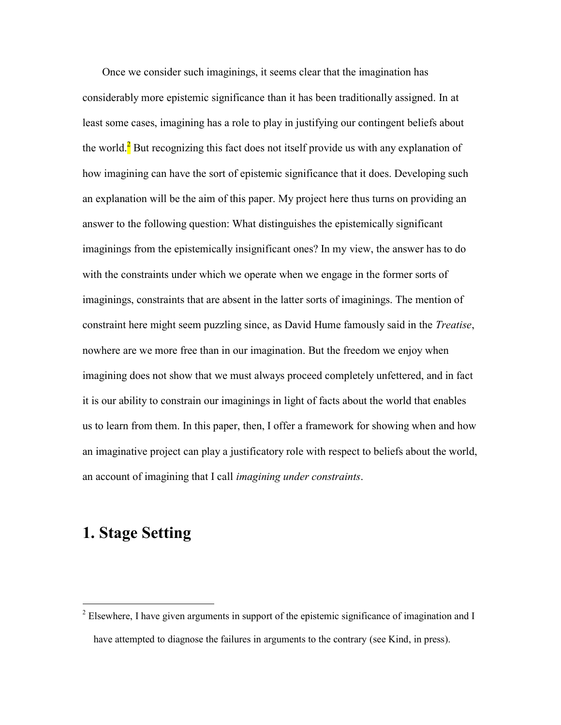Once we consider such imaginings, it seems clear that the imagination has considerably more epistemic significance than it has been traditionally assigned. In at least some cases, imagining has a role to play in justifying our contingent beliefs about the world. $\frac{2}{3}$  But recognizing this fact does not itself provide us with any explanation of how imagining can have the sort of epistemic significance that it does. Developing such an explanation will be the aim of this paper. My project here thus turns on providing an answer to the following question: What distinguishes the epistemically significant imaginings from the epistemically insignificant ones? In my view, the answer has to do with the constraints under which we operate when we engage in the former sorts of imaginings, constraints that are absent in the latter sorts of imaginings. The mention of constraint here might seem puzzling since, as David Hume famously said in the *Treatise*, nowhere are we more free than in our imagination. But the freedom we enjoy when imagining does not show that we must always proceed completely unfettered, and in fact it is our ability to constrain our imaginings in light of facts about the world that enables us to learn from them. In this paper, then, I offer a framework for showing when and how an imaginative project can play a justificatory role with respect to beliefs about the world, an account of imagining that I call *imagining under constraints*.

# **1. Stage Setting**

<sup>&</sup>lt;sup>2</sup> Elsewhere, I have given arguments in support of the epistemic significance of imagination and I have attempted to diagnose the failures in arguments to the contrary (see Kind, in press).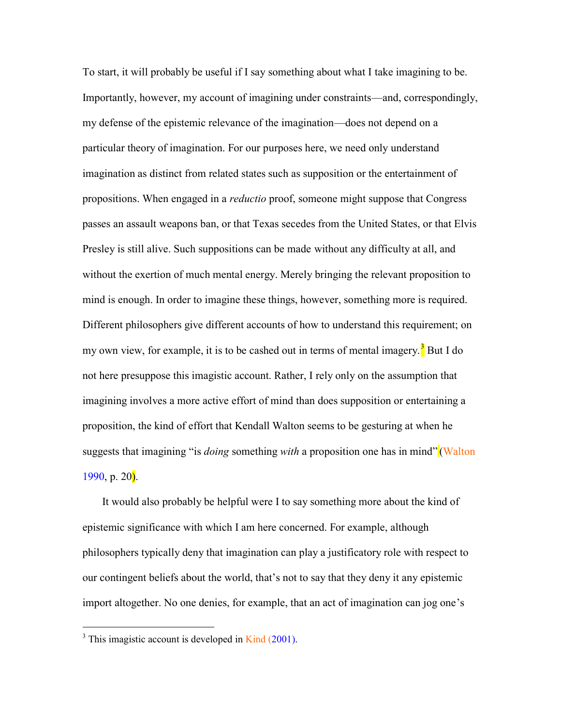To start, it will probably be useful if I say something about what I take imagining to be. Importantly, however, my account of imagining under constraints—and, correspondingly, my defense of the epistemic relevance of the imagination—does not depend on a particular theory of imagination. For our purposes here, we need only understand imagination as distinct from related states such as supposition or the entertainment of propositions. When engaged in a *reductio* proof, someone might suppose that Congress passes an assault weapons ban, or that Texas secedes from the United States, or that Elvis Presley is still alive. Such suppositions can be made without any difficulty at all, and without the exertion of much mental energy. Merely bringing the relevant proposition to mind is enough. In order to imagine these things, however, something more is required. Different philosophers give different accounts of how to understand this requirement; on my own view, for example, it is to be cashed out in terms of mental imagery.<sup>3</sup> But I do not here presuppose this imagistic account. Rather, I rely only on the assumption that imagining involves a more active effort of mind than does supposition or entertaining a proposition, the kind of effort that Kendall Walton seems to be gesturing at when he suggests that imagining "is *doing* something *with* a proposition one has in mind" (Walton [1990,](#page-26-3) p.  $20$ ).

It would also probably be helpful were I to say something more about the kind of epistemic significance with which I am here concerned. For example, although philosophers typically deny that imagination can play a justificatory role with respect to our contingent beliefs about the world, that's not to say that they deny it any epistemic import altogether. No one denies, for example, that an act of imagination can jog one's

 $3$  This imagistic account is developed in Kind [\(2001\)](Putting#Ref7).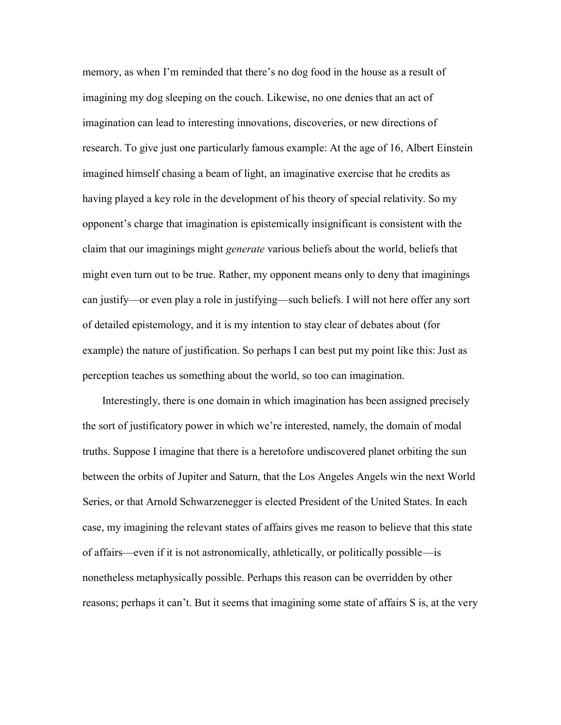memory, as when I'm reminded that there's no dog food in the house as a result of imagining my dog sleeping on the couch. Likewise, no one denies that an act of imagination can lead to interesting innovations, discoveries, or new directions of research. To give just one particularly famous example: At the age of 16, Albert Einstein imagined himself chasing a beam of light, an imaginative exercise that he credits as having played a key role in the development of his theory of special relativity. So my opponent's charge that imagination is epistemically insignificant is consistent with the claim that our imaginings might *generate* various beliefs about the world, beliefs that might even turn out to be true. Rather, my opponent means only to deny that imaginings can justify—or even play a role in justifying—such beliefs. I will not here offer any sort of detailed epistemology, and it is my intention to stay clear of debates about (for example) the nature of justification. So perhaps I can best put my point like this: Just as perception teaches us something about the world, so too can imagination.

Interestingly, there is one domain in which imagination has been assigned precisely the sort of justificatory power in which we're interested, namely, the domain of modal truths. Suppose I imagine that there is a heretofore undiscovered planet orbiting the sun between the orbits of Jupiter and Saturn, that the Los Angeles Angels win the next World Series, or that Arnold Schwarzenegger is elected President of the United States. In each case, my imagining the relevant states of affairs gives me reason to believe that this state of affairs—even if it is not astronomically, athletically, or politically possible—is nonetheless metaphysically possible. Perhaps this reason can be overridden by other reasons; perhaps it can't. But it seems that imagining some state of affairs S is, at the very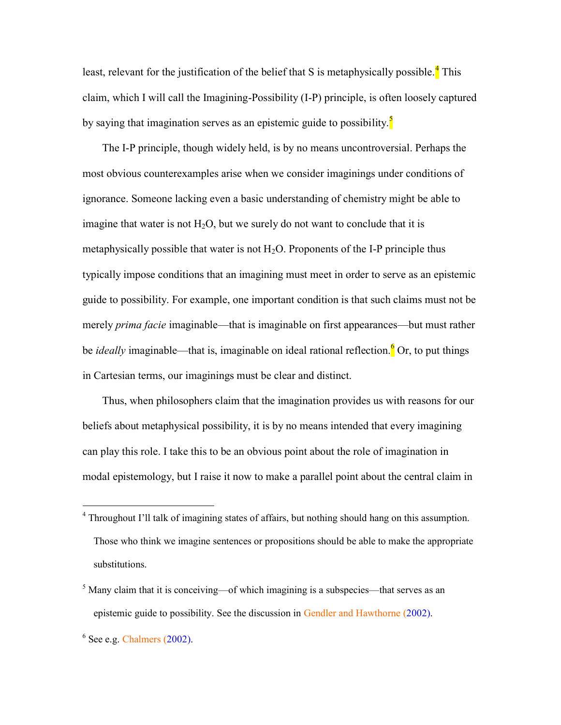least, relevant for the justification of the belief that S is metaphysically possible.<sup>4</sup> This claim, which I will call the Imagining-Possibility (I-P) principle, is often loosely captured by saying that imagination serves as an epistemic guide to possibility.<sup>5</sup>

The I-P principle, though widely held, is by no means uncontroversial. Perhaps the most obvious counterexamples arise when we consider imaginings under conditions of ignorance. Someone lacking even a basic understanding of chemistry might be able to imagine that water is not  $H_2O$ , but we surely do not want to conclude that it is metaphysically possible that water is not  $H_2O$ . Proponents of the I-P principle thus typically impose conditions that an imagining must meet in order to serve as an epistemic guide to possibility. For example, one important condition is that such claims must not be merely *prima facie* imaginable—that is imaginable on first appearances—but must rather be *ideally* imaginable—that is, imaginable on ideal rational reflection.<sup>6</sup> Or, to put things in Cartesian terms, our imaginings must be clear and distinct.

Thus, when philosophers claim that the imagination provides us with reasons for our beliefs about metaphysical possibility, it is by no means intended that every imagining can play this role. I take this to be an obvious point about the role of imagination in modal epistemology, but I raise it now to make a parallel point about the central claim in

<sup>4</sup> Throughout I'll talk of imagining states of affairs, but nothing should hang on this assumption. Those who think we imagine sentences or propositions should be able to make the appropriate substitutions.

 $<sup>5</sup>$  Many claim that it is conceiving—of which imagining is a subspecies—that serves as an</sup> epistemic guide to possibility. See the discussion in Gendler and Hawthorne [\(2002\)](Introduction.#Ref5).

 $6$  See e.g. Chalmers [\(2002\)](#page-25-0).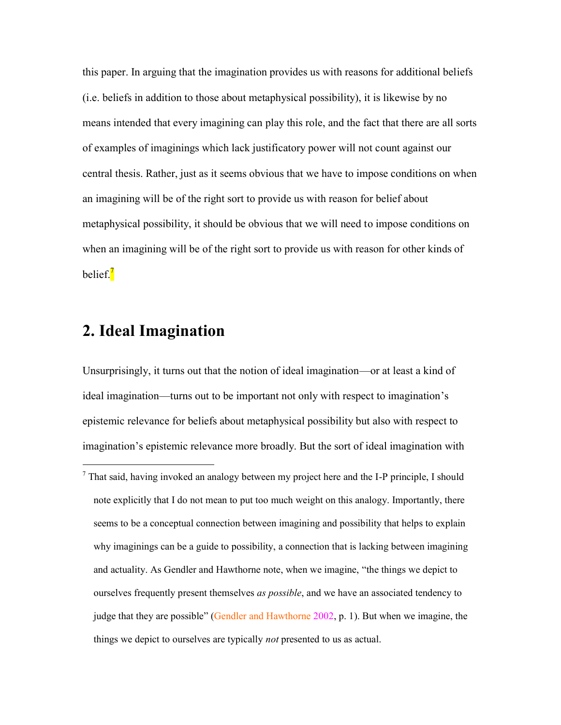this paper. In arguing that the imagination provides us with reasons for additional beliefs (i.e. beliefs in addition to those about metaphysical possibility), it is likewise by no means intended that every imagining can play this role, and the fact that there are all sorts of examples of imaginings which lack justificatory power will not count against our central thesis. Rather, just as it seems obvious that we have to impose conditions on when an imagining will be of the right sort to provide us with reason for belief about metaphysical possibility, it should be obvious that we will need to impose conditions on when an imagining will be of the right sort to provide us with reason for other kinds of belief.<sup>7</sup>

# **2. Ideal Imagination**

 $\overline{a}$ 

Unsurprisingly, it turns out that the notion of ideal imagination—or at least a kind of ideal imagination—turns out to be important not only with respect to imagination's epistemic relevance for beliefs about metaphysical possibility but also with respect to imagination's epistemic relevance more broadly. But the sort of ideal imagination with

<sup>7</sup> That said, having invoked an analogy between my project here and the I-P principle, I should note explicitly that I do not mean to put too much weight on this analogy. Importantly, there seems to be a conceptual connection between imagining and possibility that helps to explain why imaginings can be a guide to possibility, a connection that is lacking between imagining and actuality. As Gendler and Hawthorne note, when we imagine, "the things we depict to ourselves frequently present themselves *as possible*, and we have an associated tendency to judge that they are possible" (Gendler and Hawthorne 2002, p. 1). But when we imagine, the things we depict to ourselves are typically *not* presented to us as actual.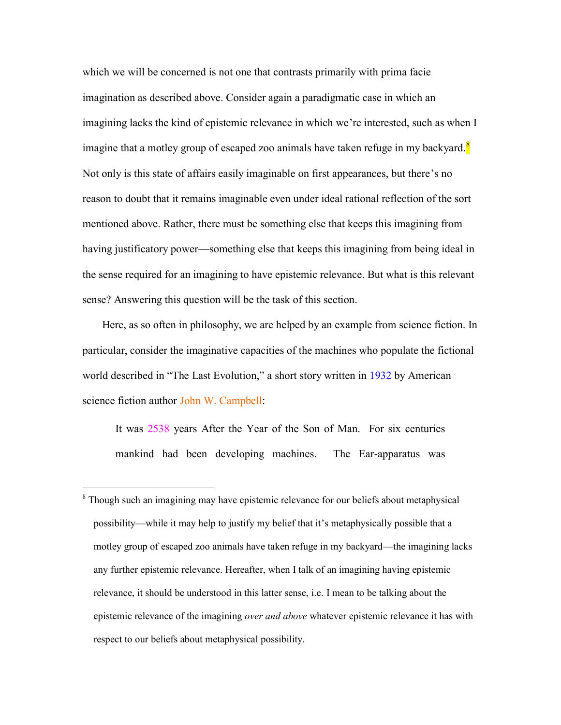which we will be concerned is not one that contrasts primarily with prima facie imagination as described above. Consider again a paradigmatic case in which an imagining lacks the kind of epistemic relevance in which we're interested, such as when I imagine that a motley group of escaped zoo animals have taken refuge in my backyard.<sup>8</sup> Not only is this state of affairs easily imaginable on first appearances, but there's no reason to doubt that it remains imaginable even under ideal rational reflection of the sort mentioned above. Rather, there must be something else that keeps this imagining from having justificatory power—something else that keeps this imagining from being ideal in the sense required for an imagining to have epistemic relevance. But what is this relevant sense? Answering this question will be the task of this section.

Here, as so often in philosophy, we are helped by an example from science fiction. In particular, consider the imaginative capacities of the machines who populate the fictional world described in "The Last Evolution," a short story written in [1932](The#Ref1) by American science fiction author John W. Campbell:

It was 2538 years After the Year of the Son of Man. For six centuries mankind had been developing machines. The Ear-apparatus was

<sup>&</sup>lt;sup>8</sup> Though such an imagining may have epistemic relevance for our beliefs about metaphysical possibility—while it may help to justify my belief that it's metaphysically possible that a motley group of escaped zoo animals have taken refuge in my backyard—the imagining lacks any further epistemic relevance. Hereafter, when I talk of an imagining having epistemic relevance, it should be understood in this latter sense, i.e. I mean to be talking about the epistemic relevance of the imagining *over and above* whatever epistemic relevance it has with respect to our beliefs about metaphysical possibility.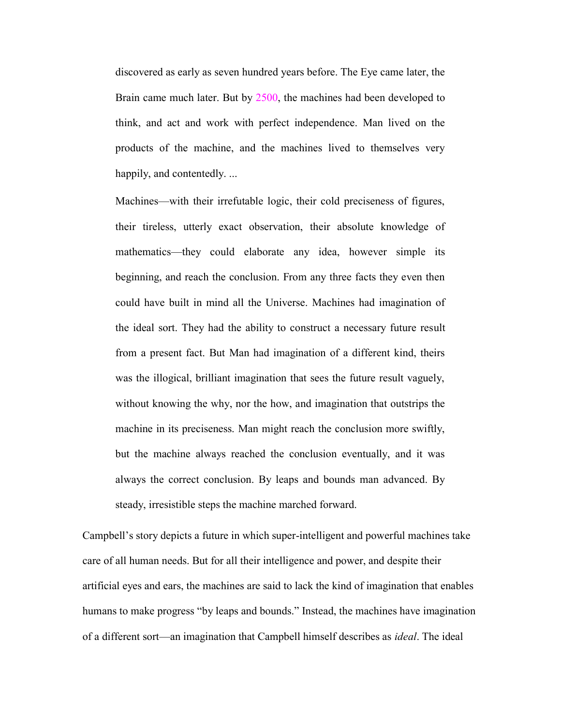discovered as early as seven hundred years before. The Eye came later, the Brain came much later. But by 2500, the machines had been developed to think, and act and work with perfect independence. Man lived on the products of the machine, and the machines lived to themselves very happily, and contentedly. ...

Machines—with their irrefutable logic, their cold preciseness of figures, their tireless, utterly exact observation, their absolute knowledge of mathematics—they could elaborate any idea, however simple its beginning, and reach the conclusion. From any three facts they even then could have built in mind all the Universe. Machines had imagination of the ideal sort. They had the ability to construct a necessary future result from a present fact. But Man had imagination of a different kind, theirs was the illogical, brilliant imagination that sees the future result vaguely, without knowing the why, nor the how, and imagination that outstrips the machine in its preciseness. Man might reach the conclusion more swiftly, but the machine always reached the conclusion eventually, and it was always the correct conclusion. By leaps and bounds man advanced. By steady, irresistible steps the machine marched forward.

Campbell's story depicts a future in which super-intelligent and powerful machines take care of all human needs. But for all their intelligence and power, and despite their artificial eyes and ears, the machines are said to lack the kind of imagination that enables humans to make progress "by leaps and bounds." Instead, the machines have imagination of a different sort—an imagination that Campbell himself describes as *ideal*. The ideal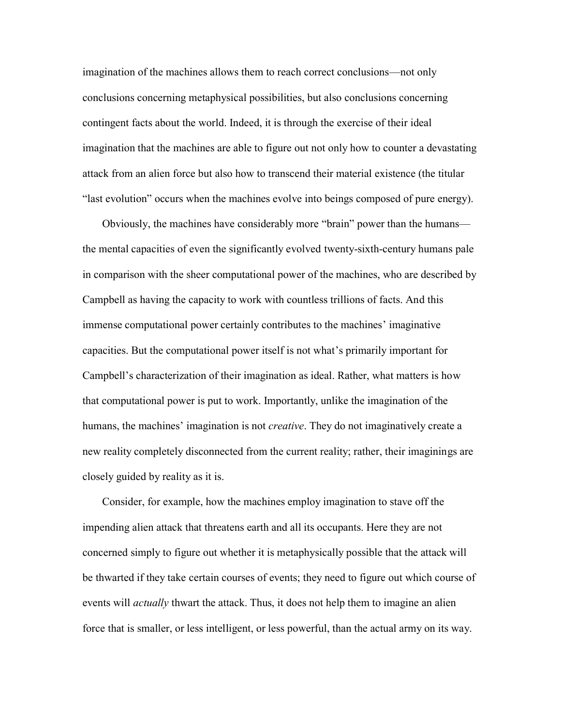imagination of the machines allows them to reach correct conclusions—not only conclusions concerning metaphysical possibilities, but also conclusions concerning contingent facts about the world. Indeed, it is through the exercise of their ideal imagination that the machines are able to figure out not only how to counter a devastating attack from an alien force but also how to transcend their material existence (the titular "last evolution" occurs when the machines evolve into beings composed of pure energy).

Obviously, the machines have considerably more "brain" power than the humans the mental capacities of even the significantly evolved twenty-sixth-century humans pale in comparison with the sheer computational power of the machines, who are described by Campbell as having the capacity to work with countless trillions of facts. And this immense computational power certainly contributes to the machines' imaginative capacities. But the computational power itself is not what's primarily important for Campbell's characterization of their imagination as ideal. Rather, what matters is how that computational power is put to work. Importantly, unlike the imagination of the humans, the machines' imagination is not *creative*. They do not imaginatively create a new reality completely disconnected from the current reality; rather, their imaginings are closely guided by reality as it is.

Consider, for example, how the machines employ imagination to stave off the impending alien attack that threatens earth and all its occupants. Here they are not concerned simply to figure out whether it is metaphysically possible that the attack will be thwarted if they take certain courses of events; they need to figure out which course of events will *actually* thwart the attack. Thus, it does not help them to imagine an alien force that is smaller, or less intelligent, or less powerful, than the actual army on its way.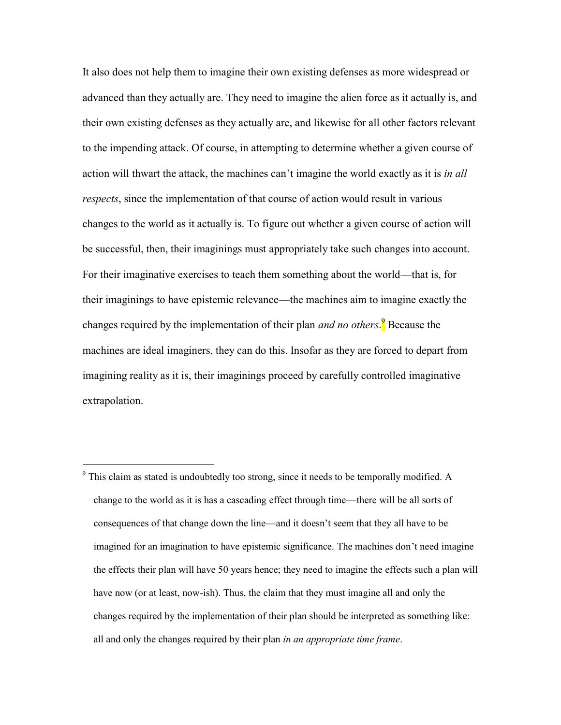It also does not help them to imagine their own existing defenses as more widespread or advanced than they actually are. They need to imagine the alien force as it actually is, and their own existing defenses as they actually are, and likewise for all other factors relevant to the impending attack. Of course, in attempting to determine whether a given course of action will thwart the attack, the machines can't imagine the world exactly as it is *in all respects*, since the implementation of that course of action would result in various changes to the world as it actually is. To figure out whether a given course of action will be successful, then, their imaginings must appropriately take such changes into account. For their imaginative exercises to teach them something about the world—that is, for their imaginings to have epistemic relevance—the machines aim to imagine exactly the changes required by the implementation of their plan *and no others*. <sup>9</sup> Because the machines are ideal imaginers, they can do this. Insofar as they are forced to depart from imagining reality as it is, their imaginings proceed by carefully controlled imaginative extrapolation.

<sup>&</sup>lt;sup>9</sup> This claim as stated is undoubtedly too strong, since it needs to be temporally modified. A change to the world as it is has a cascading effect through time—there will be all sorts of consequences of that change down the line—and it doesn't seem that they all have to be imagined for an imagination to have epistemic significance. The machines don't need imagine the effects their plan will have 50 years hence; they need to imagine the effects such a plan will have now (or at least, now-ish). Thus, the claim that they must imagine all and only the changes required by the implementation of their plan should be interpreted as something like: all and only the changes required by their plan *in an appropriate time frame*.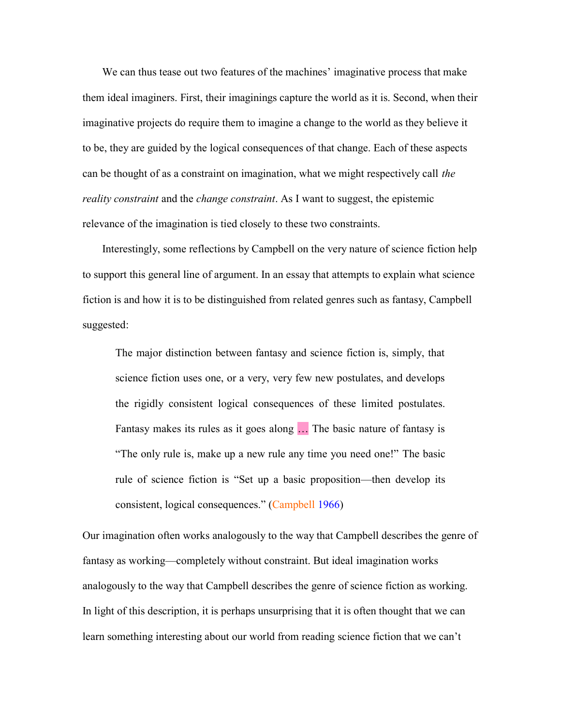We can thus tease out two features of the machines' imaginative process that make them ideal imaginers. First, their imaginings capture the world as it is. Second, when their imaginative projects do require them to imagine a change to the world as they believe it to be, they are guided by the logical consequences of that change. Each of these aspects can be thought of as a constraint on imagination, what we might respectively call *the reality constraint* and the *change constraint*. As I want to suggest, the epistemic relevance of the imagination is tied closely to these two constraints.

Interestingly, some reflections by Campbell on the very nature of science fiction help to support this general line of argument. In an essay that attempts to explain what science fiction is and how it is to be distinguished from related genres such as fantasy, Campbell suggested:

The major distinction between fantasy and science fiction is, simply, that science fiction uses one, or a very, very few new postulates, and develops the rigidly consistent logical consequences of these limited postulates. Fantasy makes its rules as it goes along … The basic nature of fantasy is "The only rule is, make up a new rule any time you need one!" The basic rule of science fiction is "Set up a basic proposition—then develop its consistent, logical consequences." (Campbell [1966\)](Introduction.#Ref2)

Our imagination often works analogously to the way that Campbell describes the genre of fantasy as working—completely without constraint. But ideal imagination works analogously to the way that Campbell describes the genre of science fiction as working. In light of this description, it is perhaps unsurprising that it is often thought that we can learn something interesting about our world from reading science fiction that we can't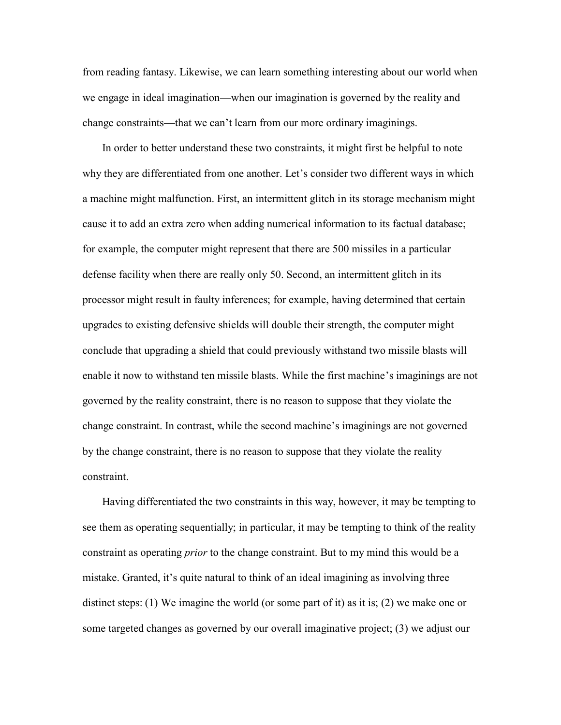from reading fantasy. Likewise, we can learn something interesting about our world when we engage in ideal imagination—when our imagination is governed by the reality and change constraints—that we can't learn from our more ordinary imaginings.

In order to better understand these two constraints, it might first be helpful to note why they are differentiated from one another. Let's consider two different ways in which a machine might malfunction. First, an intermittent glitch in its storage mechanism might cause it to add an extra zero when adding numerical information to its factual database; for example, the computer might represent that there are 500 missiles in a particular defense facility when there are really only 50. Second, an intermittent glitch in its processor might result in faulty inferences; for example, having determined that certain upgrades to existing defensive shields will double their strength, the computer might conclude that upgrading a shield that could previously withstand two missile blasts will enable it now to withstand ten missile blasts. While the first machine's imaginings are not governed by the reality constraint, there is no reason to suppose that they violate the change constraint. In contrast, while the second machine's imaginings are not governed by the change constraint, there is no reason to suppose that they violate the reality constraint.

Having differentiated the two constraints in this way, however, it may be tempting to see them as operating sequentially; in particular, it may be tempting to think of the reality constraint as operating *prior* to the change constraint. But to my mind this would be a mistake. Granted, it's quite natural to think of an ideal imagining as involving three distinct steps: (1) We imagine the world (or some part of it) as it is; (2) we make one or some targeted changes as governed by our overall imaginative project; (3) we adjust our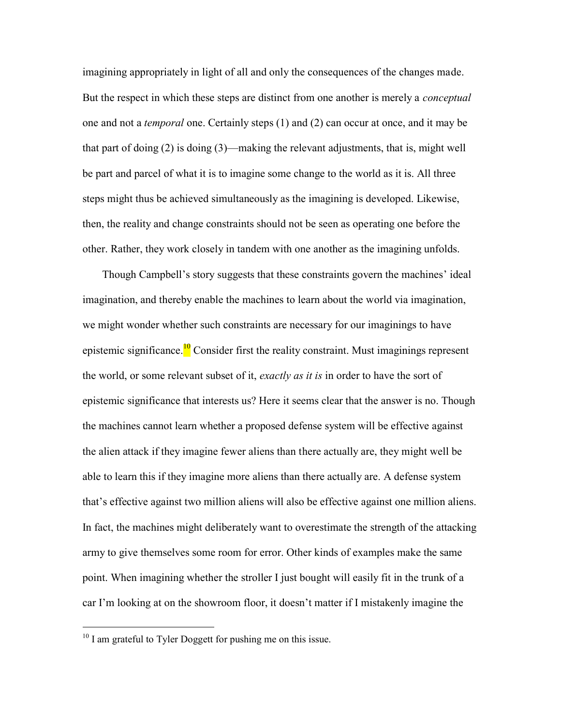imagining appropriately in light of all and only the consequences of the changes made. But the respect in which these steps are distinct from one another is merely a *conceptual* one and not a *temporal* one. Certainly steps (1) and (2) can occur at once, and it may be that part of doing  $(2)$  is doing  $(3)$ —making the relevant adjustments, that is, might well be part and parcel of what it is to imagine some change to the world as it is. All three steps might thus be achieved simultaneously as the imagining is developed. Likewise, then, the reality and change constraints should not be seen as operating one before the other. Rather, they work closely in tandem with one another as the imagining unfolds.

Though Campbell's story suggests that these constraints govern the machines' ideal imagination, and thereby enable the machines to learn about the world via imagination, we might wonder whether such constraints are necessary for our imaginings to have epistemic significance.<sup>10</sup> Consider first the reality constraint. Must imaginings represent the world, or some relevant subset of it, *exactly as it is* in order to have the sort of epistemic significance that interests us? Here it seems clear that the answer is no. Though the machines cannot learn whether a proposed defense system will be effective against the alien attack if they imagine fewer aliens than there actually are, they might well be able to learn this if they imagine more aliens than there actually are. A defense system that's effective against two million aliens will also be effective against one million aliens. In fact, the machines might deliberately want to overestimate the strength of the attacking army to give themselves some room for error. Other kinds of examples make the same point. When imagining whether the stroller I just bought will easily fit in the trunk of a car I'm looking at on the showroom floor, it doesn't matter if I mistakenly imagine the

<sup>&</sup>lt;sup>10</sup> I am grateful to Tyler Doggett for pushing me on this issue.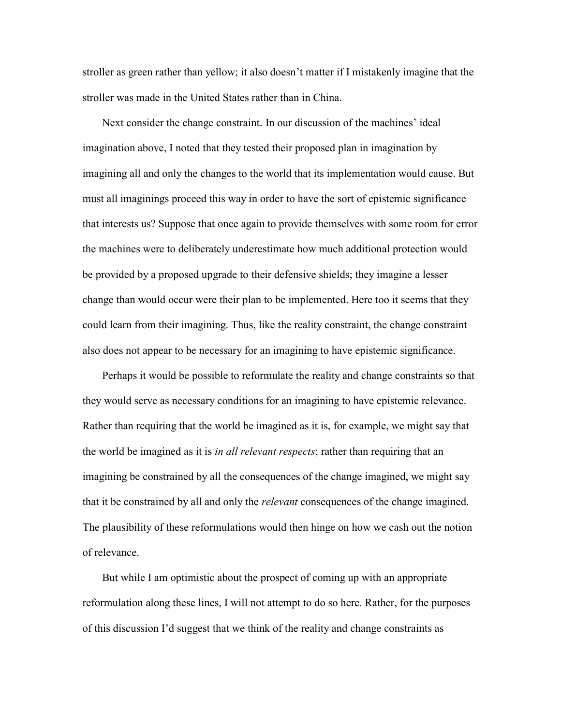stroller as green rather than yellow; it also doesn't matter if I mistakenly imagine that the stroller was made in the United States rather than in China.

Next consider the change constraint. In our discussion of the machines' ideal imagination above, I noted that they tested their proposed plan in imagination by imagining all and only the changes to the world that its implementation would cause. But must all imaginings proceed this way in order to have the sort of epistemic significance that interests us? Suppose that once again to provide themselves with some room for error the machines were to deliberately underestimate how much additional protection would be provided by a proposed upgrade to their defensive shields; they imagine a lesser change than would occur were their plan to be implemented. Here too it seems that they could learn from their imagining. Thus, like the reality constraint, the change constraint also does not appear to be necessary for an imagining to have epistemic significance.

Perhaps it would be possible to reformulate the reality and change constraints so that they would serve as necessary conditions for an imagining to have epistemic relevance. Rather than requiring that the world be imagined as it is, for example, we might say that the world be imagined as it is *in all relevant respects*; rather than requiring that an imagining be constrained by all the consequences of the change imagined, we might say that it be constrained by all and only the *relevant* consequences of the change imagined. The plausibility of these reformulations would then hinge on how we cash out the notion of relevance.

But while I am optimistic about the prospect of coming up with an appropriate reformulation along these lines, I will not attempt to do so here. Rather, for the purposes of this discussion I'd suggest that we think of the reality and change constraints as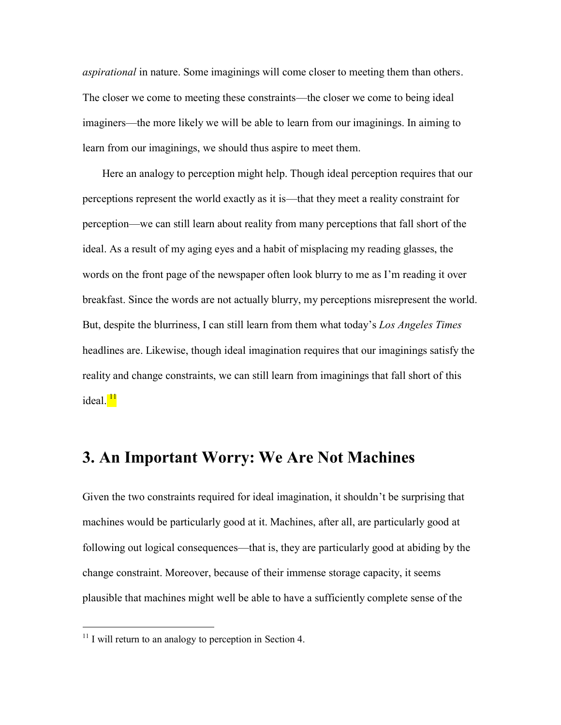*aspirational* in nature. Some imaginings will come closer to meeting them than others. The closer we come to meeting these constraints—the closer we come to being ideal imaginers—the more likely we will be able to learn from our imaginings. In aiming to learn from our imaginings, we should thus aspire to meet them.

Here an analogy to perception might help. Though ideal perception requires that our perceptions represent the world exactly as it is—that they meet a reality constraint for perception—we can still learn about reality from many perceptions that fall short of the ideal. As a result of my aging eyes and a habit of misplacing my reading glasses, the words on the front page of the newspaper often look blurry to me as I'm reading it over breakfast. Since the words are not actually blurry, my perceptions misrepresent the world. But, despite the blurriness, I can still learn from them what today's *Los Angeles Times* headlines are. Likewise, though ideal imagination requires that our imaginings satisfy the reality and change constraints, we can still learn from imaginings that fall short of this ideal.<sup>11</sup>

# **3. An Important Worry: We Are Not Machines**

Given the two constraints required for ideal imagination, it shouldn't be surprising that machines would be particularly good at it. Machines, after all, are particularly good at following out logical consequences—that is, they are particularly good at abiding by the change constraint. Moreover, because of their immense storage capacity, it seems plausible that machines might well be able to have a sufficiently complete sense of the

 $11$  I will return to an analogy to perception in Section 4.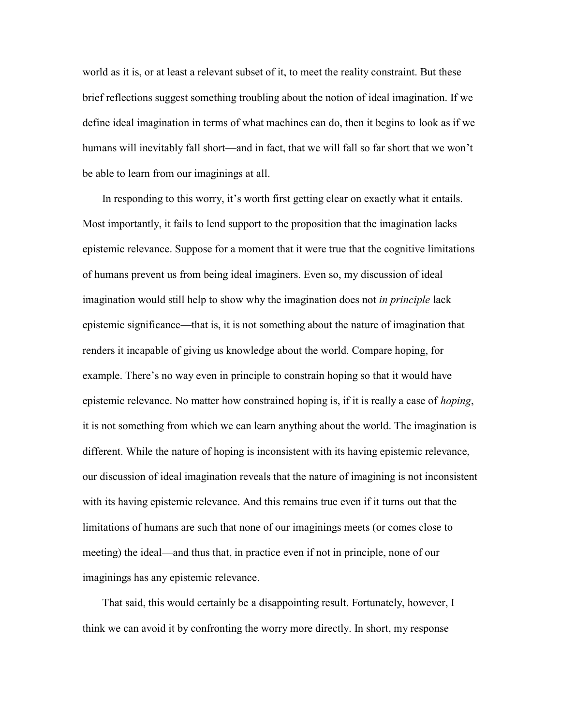world as it is, or at least a relevant subset of it, to meet the reality constraint. But these brief reflections suggest something troubling about the notion of ideal imagination. If we define ideal imagination in terms of what machines can do, then it begins to look as if we humans will inevitably fall short—and in fact, that we will fall so far short that we won't be able to learn from our imaginings at all.

In responding to this worry, it's worth first getting clear on exactly what it entails. Most importantly, it fails to lend support to the proposition that the imagination lacks epistemic relevance. Suppose for a moment that it were true that the cognitive limitations of humans prevent us from being ideal imaginers. Even so, my discussion of ideal imagination would still help to show why the imagination does not *in principle* lack epistemic significance—that is, it is not something about the nature of imagination that renders it incapable of giving us knowledge about the world. Compare hoping, for example. There's no way even in principle to constrain hoping so that it would have epistemic relevance. No matter how constrained hoping is, if it is really a case of *hoping*, it is not something from which we can learn anything about the world. The imagination is different. While the nature of hoping is inconsistent with its having epistemic relevance, our discussion of ideal imagination reveals that the nature of imagining is not inconsistent with its having epistemic relevance. And this remains true even if it turns out that the limitations of humans are such that none of our imaginings meets (or comes close to meeting) the ideal—and thus that, in practice even if not in principle, none of our imaginings has any epistemic relevance.

That said, this would certainly be a disappointing result. Fortunately, however, I think we can avoid it by confronting the worry more directly. In short, my response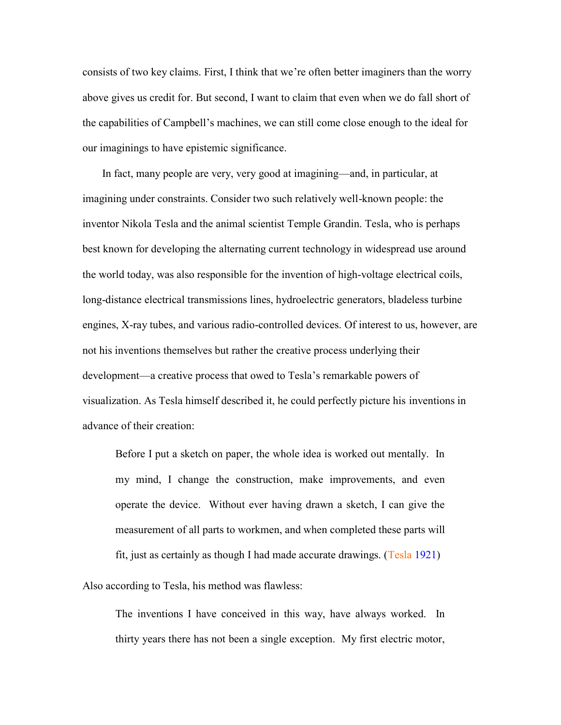consists of two key claims. First, I think that we're often better imaginers than the worry above gives us credit for. But second, I want to claim that even when we do fall short of the capabilities of Campbell's machines, we can still come close enough to the ideal for our imaginings to have epistemic significance.

In fact, many people are very, very good at imagining—and, in particular, at imagining under constraints. Consider two such relatively well-known people: the inventor Nikola Tesla and the animal scientist Temple Grandin. Tesla, who is perhaps best known for developing the alternating current technology in widespread use around the world today, was also responsible for the invention of high-voltage electrical coils, long-distance electrical transmissions lines, hydroelectric generators, bladeless turbine engines, X-ray tubes, and various radio-controlled devices. Of interest to us, however, are not his inventions themselves but rather the creative process underlying their development—a creative process that owed to Tesla's remarkable powers of visualization. As Tesla himself described it, he could perfectly picture his inventions in advance of their creation:

Before I put a sketch on paper, the whole idea is worked out mentally. In my mind, I change the construction, make improvements, and even operate the device. Without ever having drawn a sketch, I can give the measurement of all parts to workmen, and when completed these parts will fit, just as certainly as though I had made accurate drawings. (Tesla [1921\)](Making#Ref12)

Also according to Tesla, his method was flawless:

The inventions I have conceived in this way, have always worked. In thirty years there has not been a single exception. My first electric motor,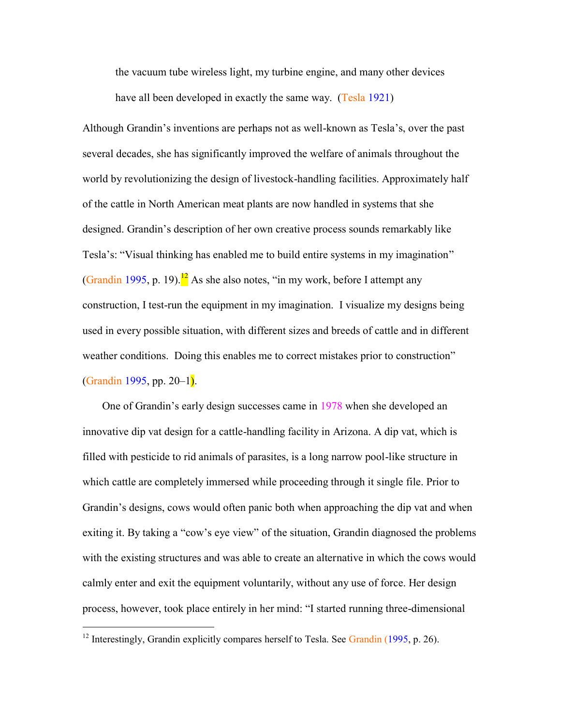the vacuum tube wireless light, my turbine engine, and many other devices have all been developed in exactly the same way. (Tesla [1921\)](Making#Ref12)

Although Grandin's inventions are perhaps not as well-known as Tesla's, over the past several decades, she has significantly improved the welfare of animals throughout the world by revolutionizing the design of livestock-handling facilities. Approximately half of the cattle in North American meat plants are now handled in systems that she designed. Grandin's description of her own creative process sounds remarkably like Tesla's: "Visual thinking has enabled me to build entire systems in my imagination" (Grandin [1995,](#page-26-4) p. 19).<sup>12</sup> As she also notes, "in my work, before I attempt any construction, I test-run the equipment in my imagination. I visualize my designs being used in every possible situation, with different sizes and breeds of cattle and in different weather conditions. Doing this enables me to correct mistakes prior to construction" (Grandin [1995,](#page-26-4) pp. 20–1).

One of Grandin's early design successes came in 1978 when she developed an innovative dip vat design for a cattle-handling facility in Arizona. A dip vat, which is filled with pesticide to rid animals of parasites, is a long narrow pool-like structure in which cattle are completely immersed while proceeding through it single file. Prior to Grandin's designs, cows would often panic both when approaching the dip vat and when exiting it. By taking a "cow's eye view" of the situation, Grandin diagnosed the problems with the existing structures and was able to create an alternative in which the cows would calmly enter and exit the equipment voluntarily, without any use of force. Her design process, however, took place entirely in her mind: "I started running three-dimensional

<sup>&</sup>lt;sup>12</sup> Interestingly, Grandin explicitly compares herself to Tesla. See Grandin [\(1995,](#page-26-4) p. 26).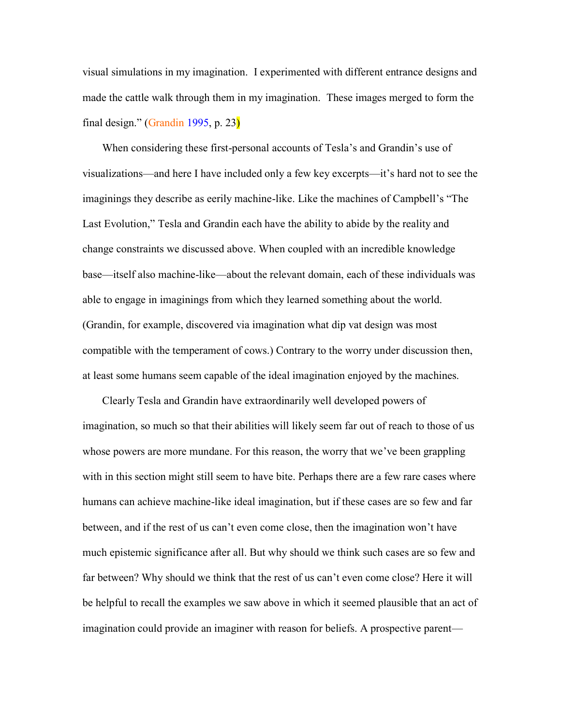visual simulations in my imagination. I experimented with different entrance designs and made the cattle walk through them in my imagination. These images merged to form the final design." (Grandin [1995,](#page-26-4) p. 23)

When considering these first-personal accounts of Tesla's and Grandin's use of visualizations—and here I have included only a few key excerpts—it's hard not to see the imaginings they describe as eerily machine-like. Like the machines of Campbell's "The Last Evolution," Tesla and Grandin each have the ability to abide by the reality and change constraints we discussed above. When coupled with an incredible knowledge base—itself also machine-like—about the relevant domain, each of these individuals was able to engage in imaginings from which they learned something about the world. (Grandin, for example, discovered via imagination what dip vat design was most compatible with the temperament of cows.) Contrary to the worry under discussion then, at least some humans seem capable of the ideal imagination enjoyed by the machines.

Clearly Tesla and Grandin have extraordinarily well developed powers of imagination, so much so that their abilities will likely seem far out of reach to those of us whose powers are more mundane. For this reason, the worry that we've been grappling with in this section might still seem to have bite. Perhaps there are a few rare cases where humans can achieve machine-like ideal imagination, but if these cases are so few and far between, and if the rest of us can't even come close, then the imagination won't have much epistemic significance after all. But why should we think such cases are so few and far between? Why should we think that the rest of us can't even come close? Here it will be helpful to recall the examples we saw above in which it seemed plausible that an act of imagination could provide an imaginer with reason for beliefs. A prospective parent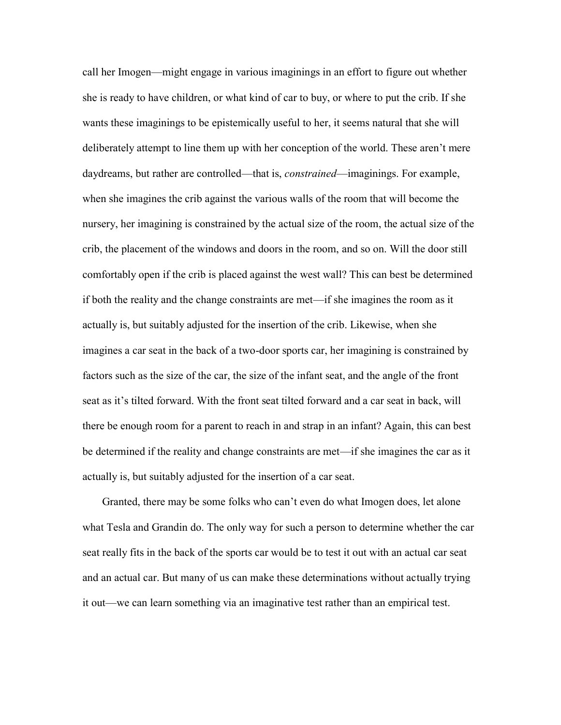call her Imogen—might engage in various imaginings in an effort to figure out whether she is ready to have children, or what kind of car to buy, or where to put the crib. If she wants these imaginings to be epistemically useful to her, it seems natural that she will deliberately attempt to line them up with her conception of the world. These aren't mere daydreams, but rather are controlled—that is, *constrained*—imaginings. For example, when she imagines the crib against the various walls of the room that will become the nursery, her imagining is constrained by the actual size of the room, the actual size of the crib, the placement of the windows and doors in the room, and so on. Will the door still comfortably open if the crib is placed against the west wall? This can best be determined if both the reality and the change constraints are met—if she imagines the room as it actually is, but suitably adjusted for the insertion of the crib. Likewise, when she imagines a car seat in the back of a two-door sports car, her imagining is constrained by factors such as the size of the car, the size of the infant seat, and the angle of the front seat as it's tilted forward. With the front seat tilted forward and a car seat in back, will there be enough room for a parent to reach in and strap in an infant? Again, this can best be determined if the reality and change constraints are met—if she imagines the car as it actually is, but suitably adjusted for the insertion of a car seat.

Granted, there may be some folks who can't even do what Imogen does, let alone what Tesla and Grandin do. The only way for such a person to determine whether the car seat really fits in the back of the sports car would be to test it out with an actual car seat and an actual car. But many of us can make these determinations without actually trying it out—we can learn something via an imaginative test rather than an empirical test.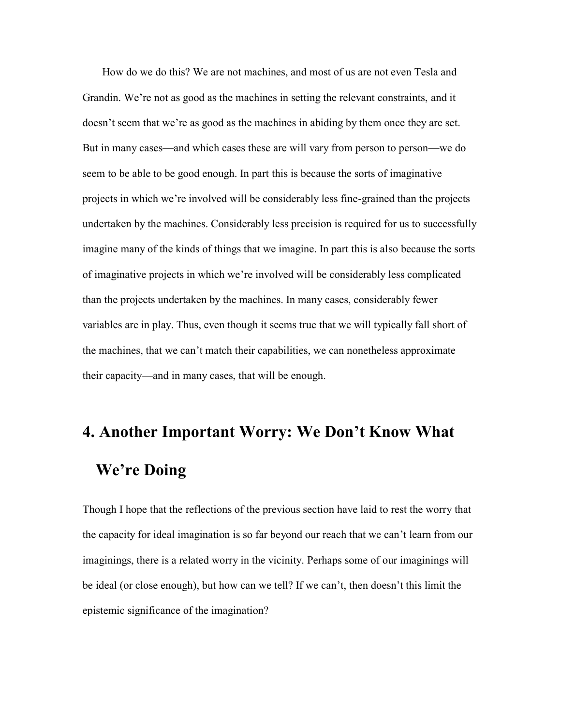How do we do this? We are not machines, and most of us are not even Tesla and Grandin. We're not as good as the machines in setting the relevant constraints, and it doesn't seem that we're as good as the machines in abiding by them once they are set. But in many cases—and which cases these are will vary from person to person—we do seem to be able to be good enough. In part this is because the sorts of imaginative projects in which we're involved will be considerably less fine-grained than the projects undertaken by the machines. Considerably less precision is required for us to successfully imagine many of the kinds of things that we imagine. In part this is also because the sorts of imaginative projects in which we're involved will be considerably less complicated than the projects undertaken by the machines. In many cases, considerably fewer variables are in play. Thus, even though it seems true that we will typically fall short of the machines, that we can't match their capabilities, we can nonetheless approximate their capacity—and in many cases, that will be enough.

# **4. Another Important Worry: We Don't Know What We're Doing**

Though I hope that the reflections of the previous section have laid to rest the worry that the capacity for ideal imagination is so far beyond our reach that we can't learn from our imaginings, there is a related worry in the vicinity. Perhaps some of our imaginings will be ideal (or close enough), but how can we tell? If we can't, then doesn't this limit the epistemic significance of the imagination?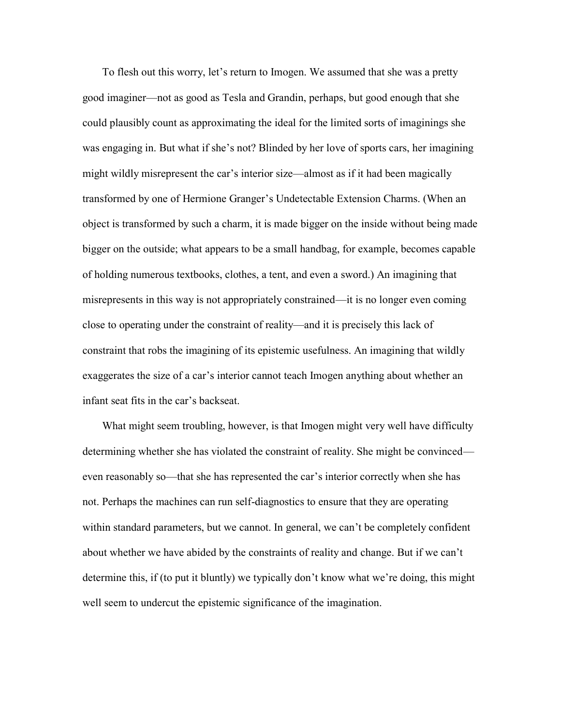To flesh out this worry, let's return to Imogen. We assumed that she was a pretty good imaginer—not as good as Tesla and Grandin, perhaps, but good enough that she could plausibly count as approximating the ideal for the limited sorts of imaginings she was engaging in. But what if she's not? Blinded by her love of sports cars, her imagining might wildly misrepresent the car's interior size—almost as if it had been magically transformed by one of Hermione Granger's Undetectable Extension Charms. (When an object is transformed by such a charm, it is made bigger on the inside without being made bigger on the outside; what appears to be a small handbag, for example, becomes capable of holding numerous textbooks, clothes, a tent, and even a sword.) An imagining that misrepresents in this way is not appropriately constrained—it is no longer even coming close to operating under the constraint of reality—and it is precisely this lack of constraint that robs the imagining of its epistemic usefulness. An imagining that wildly exaggerates the size of a car's interior cannot teach Imogen anything about whether an infant seat fits in the car's backseat.

What might seem troubling, however, is that Imogen might very well have difficulty determining whether she has violated the constraint of reality. She might be convinced even reasonably so—that she has represented the car's interior correctly when she has not. Perhaps the machines can run self-diagnostics to ensure that they are operating within standard parameters, but we cannot. In general, we can't be completely confident about whether we have abided by the constraints of reality and change. But if we can't determine this, if (to put it bluntly) we typically don't know what we're doing, this might well seem to undercut the epistemic significance of the imagination.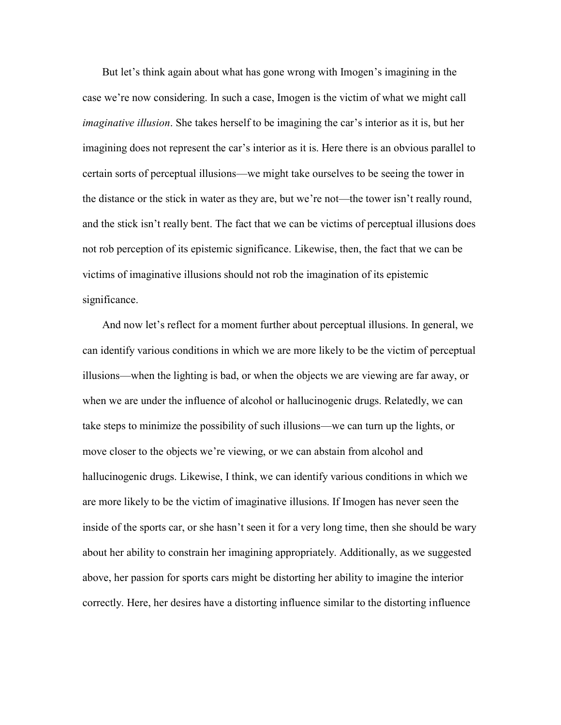But let's think again about what has gone wrong with Imogen's imagining in the case we're now considering. In such a case, Imogen is the victim of what we might call *imaginative illusion*. She takes herself to be imagining the car's interior as it is, but her imagining does not represent the car's interior as it is. Here there is an obvious parallel to certain sorts of perceptual illusions—we might take ourselves to be seeing the tower in the distance or the stick in water as they are, but we're not—the tower isn't really round, and the stick isn't really bent. The fact that we can be victims of perceptual illusions does not rob perception of its epistemic significance. Likewise, then, the fact that we can be victims of imaginative illusions should not rob the imagination of its epistemic significance.

And now let's reflect for a moment further about perceptual illusions. In general, we can identify various conditions in which we are more likely to be the victim of perceptual illusions—when the lighting is bad, or when the objects we are viewing are far away, or when we are under the influence of alcohol or hallucinogenic drugs. Relatedly, we can take steps to minimize the possibility of such illusions—we can turn up the lights, or move closer to the objects we're viewing, or we can abstain from alcohol and hallucinogenic drugs. Likewise, I think, we can identify various conditions in which we are more likely to be the victim of imaginative illusions. If Imogen has never seen the inside of the sports car, or she hasn't seen it for a very long time, then she should be wary about her ability to constrain her imagining appropriately. Additionally, as we suggested above, her passion for sports cars might be distorting her ability to imagine the interior correctly. Here, her desires have a distorting influence similar to the distorting influence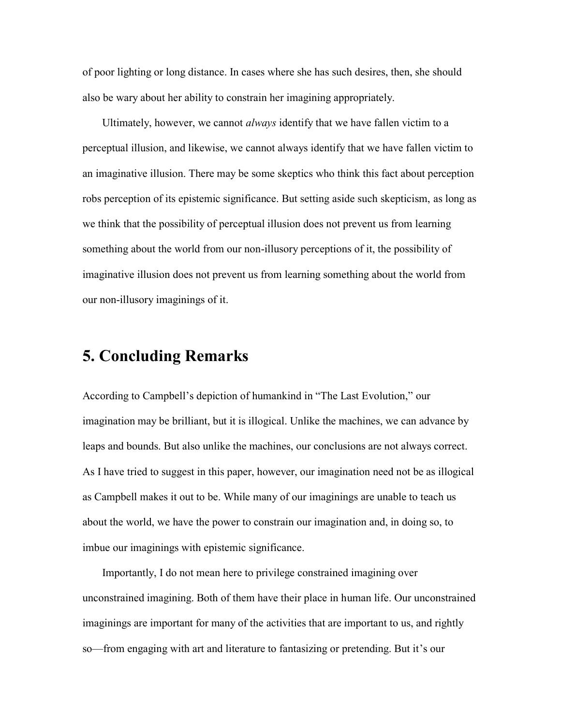of poor lighting or long distance. In cases where she has such desires, then, she should also be wary about her ability to constrain her imagining appropriately.

Ultimately, however, we cannot *always* identify that we have fallen victim to a perceptual illusion, and likewise, we cannot always identify that we have fallen victim to an imaginative illusion. There may be some skeptics who think this fact about perception robs perception of its epistemic significance. But setting aside such skepticism, as long as we think that the possibility of perceptual illusion does not prevent us from learning something about the world from our non-illusory perceptions of it, the possibility of imaginative illusion does not prevent us from learning something about the world from our non-illusory imaginings of it.

# **5. Concluding Remarks**

According to Campbell's depiction of humankind in "The Last Evolution," our imagination may be brilliant, but it is illogical. Unlike the machines, we can advance by leaps and bounds. But also unlike the machines, our conclusions are not always correct. As I have tried to suggest in this paper, however, our imagination need not be as illogical as Campbell makes it out to be. While many of our imaginings are unable to teach us about the world, we have the power to constrain our imagination and, in doing so, to imbue our imaginings with epistemic significance.

Importantly, I do not mean here to privilege constrained imagining over unconstrained imagining. Both of them have their place in human life. Our unconstrained imaginings are important for many of the activities that are important to us, and rightly so—from engaging with art and literature to fantasizing or pretending. But it's our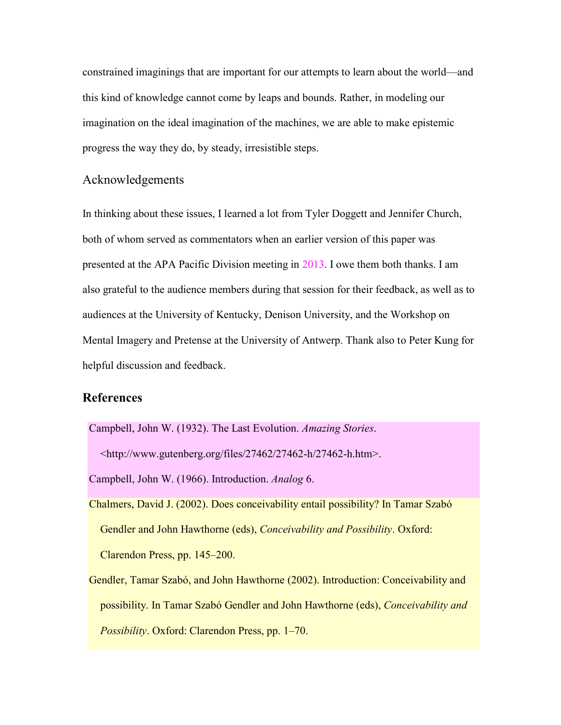constrained imaginings that are important for our attempts to learn about the world—and this kind of knowledge cannot come by leaps and bounds. Rather, in modeling our imagination on the ideal imagination of the machines, we are able to make epistemic progress the way they do, by steady, irresistible steps.

### Acknowledgements

In thinking about these issues, I learned a lot from Tyler Doggett and Jennifer Church, both of whom served as commentators when an earlier version of this paper was presented at the APA Pacific Division meeting in 2013. I owe them both thanks. I am also grateful to the audience members during that session for their feedback, as well as to audiences at the University of Kentucky, Denison University, and the Workshop on Mental Imagery and Pretense at the University of Antwerp. Thank also to Peter Kung for helpful discussion and feedback.

### **References**

Campbell, John W. (1932). The Last Evolution. *Amazing Stories*.

 $\lt$ http://www.gutenberg.org/files/27462/27462-h/27462-h.htm>.

Campbell, John W. (1966). Introduction. *Analog* 6.

<span id="page-25-0"></span>Chalmers, David J. (2002). Does conceivability entail possibility? In Tamar Szabό Gendler and John Hawthorne (eds), *Conceivability and Possibility*. Oxford: Clarendon Press, pp. 145–200.

Gendler, Tamar Szabό, and John Hawthorne (2002). Introduction: Conceivability and possibility. In Tamar Szabό Gendler and John Hawthorne (eds), *Conceivability and Possibility*. Oxford: Clarendon Press, pp. 1–70.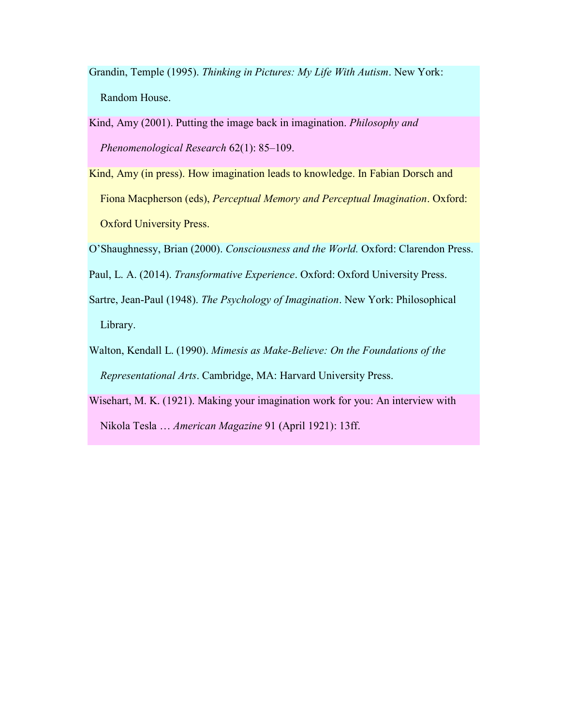- <span id="page-26-4"></span>Grandin, Temple (1995). *Thinking in Pictures: My Life With Autism*. New York: Random House.
- Kind, Amy (2001). Putting the image back in imagination. *Philosophy and Phenomenological Research* 62(1): 85–109.
- Kind, Amy (in press). How imagination leads to knowledge. In Fabian Dorsch and Fiona Macpherson (eds), *Perceptual Memory and Perceptual Imagination*. Oxford: Oxford University Press.
- <span id="page-26-1"></span>O'Shaughnessy, Brian (2000). *Consciousness and the World.* Oxford: Clarendon Press.
- <span id="page-26-2"></span>Paul, L. A. (2014). *Transformative Experience*. Oxford: Oxford University Press.
- <span id="page-26-0"></span>Sartre, Jean-Paul (1948). *The Psychology of Imagination*. New York: Philosophical Library.
- <span id="page-26-3"></span>Walton, Kendall L. (1990). *Mimesis as Make-Believe: On the Foundations of the Representational Arts*. Cambridge, MA: Harvard University Press.
- Wisehart, M. K. (1921). Making your imagination work for you: An interview with Nikola Tesla … *American Magazine* 91 (April 1921): 13ff.